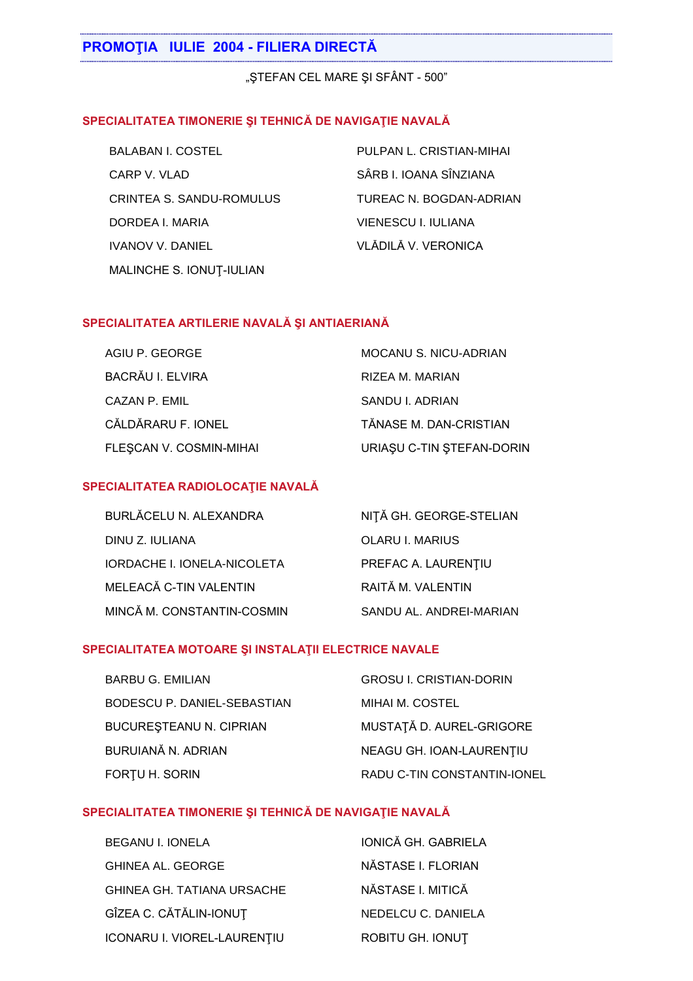"STEFAN CEL MARE ȘI SFÂNT - 500"

### SPECIALITATEA TIMONERIE ȘI TEHNICĂ DE NAVIGAȚIE NAVALĂ

| <b>BALABAN I. COSTEL</b>        | PULPAN L. CRISTIAN-MIHAI |
|---------------------------------|--------------------------|
| CARP V. VLAD                    | SÂRB I. IOANA SÎNZIANA   |
| <b>CRINTEA S. SANDU-ROMULUS</b> | TUREAC N. BOGDAN-ADRIAN  |
| DORDEA I. MARIA                 | VIENESCU I. IULIANA      |
| <b>IVANOV V. DANIEL</b>         | VLĂDILĂ V. VERONICA      |
| MALINCHE S. IONUT-IULIAN        |                          |

#### SPECIALITATEA ARTILERIE NAVALĂ ȘI ANTIAERIANĂ

| AGIU P. GEORGE          | <b>MOCANU S. NICU-ADRIAN</b> |
|-------------------------|------------------------------|
| BACRĂU I. ELVIRA        | RIZEA M. MARIAN              |
| CAZAN P. EMIL           | SANDU I. ADRIAN              |
| CĂLDĂRARU F. IONEL      | TĂNASE M. DAN-CRISTIAN       |
| FLESCAN V. COSMIN-MIHAI | URIAȘU C-TIN ȘTEFAN-DORIN    |

#### SPECIALITATEA RADIOLOCAȚIE NAVALĂ

| BURLĂCELU N. ALEXANDRA             | NIȚĂ GH. GEORGE-STELIAN |
|------------------------------------|-------------------------|
| DINU Z. IULIANA                    | <b>OLARU I. MARIUS</b>  |
| <b>IORDACHE I. IONELA-NICOLETA</b> | PREFAC A. LAURENTIU     |
| MELEACĂ C-TIN VALENTIN             | RAITĂ M. VALENTIN       |
| MINCĂ M. CONSTANTIN-COSMIN         | SANDU AL. ANDREI-MARIAN |

#### SPECIALITATEA MOTOARE ȘI INSTALAȚII ELECTRICE NAVALE

| <b>BARBU G. EMILIAN</b>        | <b>GROSU I. CRISTIAN-DORIN</b> |
|--------------------------------|--------------------------------|
| BODESCU P. DANIEL-SEBASTIAN    | MIHAI M. COSTEL                |
| <b>BUCURESTEANU N. CIPRIAN</b> | MUSTAȚĂ D. AUREL-GRIGORE       |
| BURUIANĂ N. ADRIAN             | NEAGU GH. IOAN-LAURENTIU       |
| FORTU H. SORIN                 | RADU C-TIN CONSTANTIN-IONEL    |

## SPECIALITATEA TIMONERIE ȘI TEHNICĂ DE NAVIGAȚIE NAVALĂ

| BEGANU I. IONELA                  | <b>IONICĂ GH. GABRIELA</b> |
|-----------------------------------|----------------------------|
| GHINEA AL. GEORGE                 | NĂSTASE I. FLORIAN         |
| <b>GHINEA GH. TATIANA URSACHE</b> | NĂSTASE I. MITICĂ          |
| GÎZEA C. CĂTĂLIN-IONUȚ            | NEDELCU C. DANIELA         |
| ICONARU I. VIOREL-LAURENȚIU       | ROBITU GH. IONUT           |